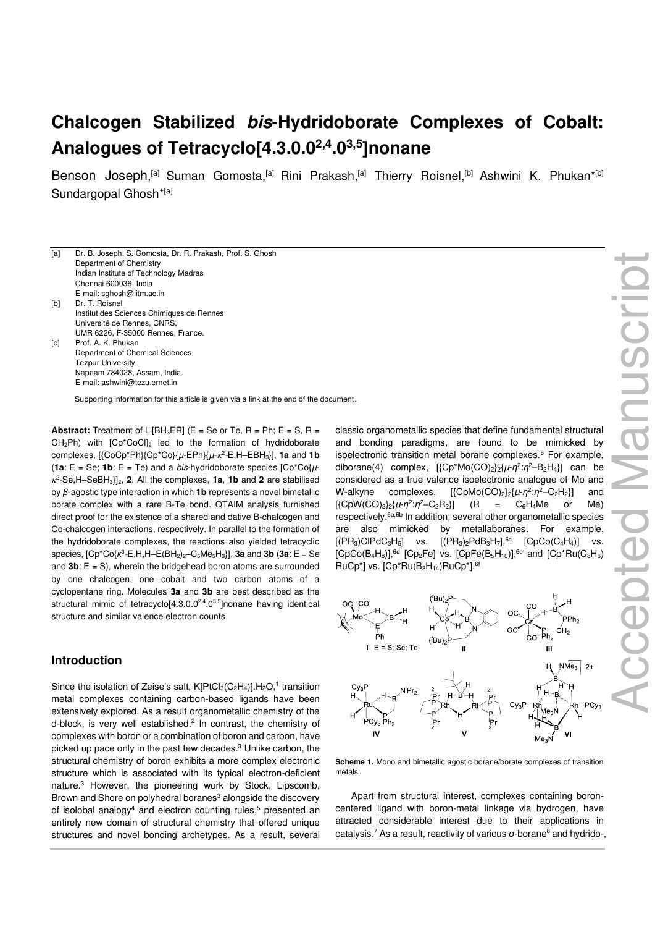# **Chalcogen Stabilized bis-Hydridoborate Complexes of Cobalt: Analogues of Tetracyclo[4.3.0.02,4.03,5]nonane**

Benson Joseph,<sup>[a]</sup> Suman Gomosta,<sup>[a]</sup> Rini Prakash,<sup>[a]</sup> Thierry Roisnel,<sup>[b]</sup> Ashwini K. Phukan\*<sup>[c]</sup> Sundargopal Ghosh\*[a]

Supporting information for this article is given via a link at the end of the document.

**Abstract:** Treatment of Li[BH<sub>3</sub>ER] (E = Se or Te, R = Ph; E = S, R = CH<sub>2</sub>Ph) with [Cp<sup>\*</sup>CoCl]<sub>2</sub> led to the formation of hydridoborate complexes, [{CoCp\*Ph}{Cp\*Co}{µ-EPh}{µ- 2 -E,H‒EBH3}], **1a** and **1b** (**1a**:  $E = Se$ ; **1b**:  $E = Te$ ) and a *bis*-hydridoborate species  $[Cp^*Co\{\mu - c\}]$  2 -Se,H‒SeBH3}]2, **2**. All the complexes, **1a**, **1b** and **2** are stabilised by *β*-agostic type interaction in which **1b** represents a novel bimetallic borate complex with a rare B-Te bond. QTAIM analysis furnished direct proof for the existence of a shared and dative B-chalcogen and Co-chalcogen interactions, respectively. In parallel to the formation of the hydridoborate complexes, the reactions also yielded tetracyclic species,  $[Cp*Co{ $k^3$ -E,H,H-E(BH<sub>2</sub>)<sub>2</sub>-C<sub>5</sub>Me<sub>5</sub>H<sub>3</sub>}],$  **3a** and **3b** (**3a**: E = Se and  $3b$ :  $E = S$ ), wherein the bridgehead boron atoms are surrounded by one chalcogen, one cobalt and two carbon atoms of a cyclopentane ring. Molecules **3a** and **3b** are best described as the structural mimic of tetracyclo<sup>[4.3.0.0<sup>2,4</sup>.0<sup>3,5</sup>]nonane having identical</sup> structure and similar valence electron counts.

### **Introduction**

Since the isolation of Zeise's salt,  $K[PtCl_3(C_2H_4)]$ . H<sub>2</sub>O,<sup>1</sup> transition metal complexes containing carbon-based ligands have been extensively explored. As a result organometallic chemistry of the d-block, is very well established.<sup>2</sup> In contrast, the chemistry of complexes with boron or a combination of boron and carbon, have picked up pace only in the past few decades.<sup>3</sup> Unlike carbon, the structural chemistry of boron exhibits a more complex electronic structure which is associated with its typical electron-deficient nature.<sup>3</sup> However, the pioneering work by Stock, Lipscomb, Brown and Shore on polyhedral boranes<sup>3</sup> alongside the discovery of isolobal analogy<sup>4</sup> and electron counting rules,<sup>5</sup> presented an entirely new domain of structural chemistry that offered unique structures and novel bonding archetypes. As a result, several

classic organometallic species that define fundamental structural and bonding paradigms, are found to be mimicked by isoelectronic transition metal borane complexes.<sup>6</sup> For example, diborane(4) complex, [{Cp<sup>\*</sup>Mo(CO)<sub>2</sub>}<sub>2</sub>{ $\mu$ -*η*<sup>2</sup>:*η*<sup>2</sup>--B<sub>2</sub>H<sub>4</sub>}] can be considered as a true valence isoelectronic analogue of Mo and W-alkyne complexes, [{CpMo(CO)<sub>2</sub>}<sub>2</sub>{ $\mu$ -*η*<sup>2</sup>:*η*<sup>2</sup>-C<sub>2</sub>H<sub>2</sub>}] and  $[{CDW(CO)<sub>2</sub>}_{2}^{2}({\mu \eta}^{2}:\eta^{2}-C_{2}R_{2}]$  (R = C<sub>6</sub>H<sub>4</sub>Me or Me) respectively.6a,6b In addition, several other organometallic species are also mimicked by metallaboranes. For example,  $[(PR_3)CIPdC_3H_5]$  vs.  $[(PR_3)_2PdB_3H_7]$ , <sup>6c</sup>  $[CpCo(C_4H_4)]$  vs.  $[CpCo(B_4H_8)]$ , <sup>6d</sup>  $[Cp_2Fe]$  vs.  $[CpFe(B_5H_{10})]$ , <sup>6e</sup> and  $[Cp^*Ru(C_8H_6)]$  $RuCp<sup>*</sup>$ ] vs.  $[Cp<sup>*</sup>Ru(B<sub>8</sub>H<sub>14</sub>)RuCp<sup>*</sup>].<sup>6f</sup>$ 



**Scheme 1.** Mono and bimetallic agostic borane/borate complexes of transition metals

Apart from structural interest, complexes containing boroncentered ligand with boron-metal linkage via hydrogen, have attracted considerable interest due to their applications in catalysis.<sup>7</sup> As a result, reactivity of various σ-borane<sup>8</sup> and hydrido-,

<sup>[</sup>a] Dr. B. Joseph, S. Gomosta, Dr. R. Prakash, Prof. S. Ghosh Department of Chemistry Indian Institute of Technology Madras Chennai 600036, India E-mail: sghosh@iitm.ac.in [b] Dr. T. Roisnel Institut des Sciences Chimiques de Rennes Université de Rennes, CNRS, UMR 6226, F-35000 Rennes, France. [c] Prof. A. K. Phukan Department of Chemical Sciences **Tezpur University** Napaam 784028, Assam, India. E-mail[: ashwini@tezu.ernet.in](mailto:ashwini@tezu.ernet.in)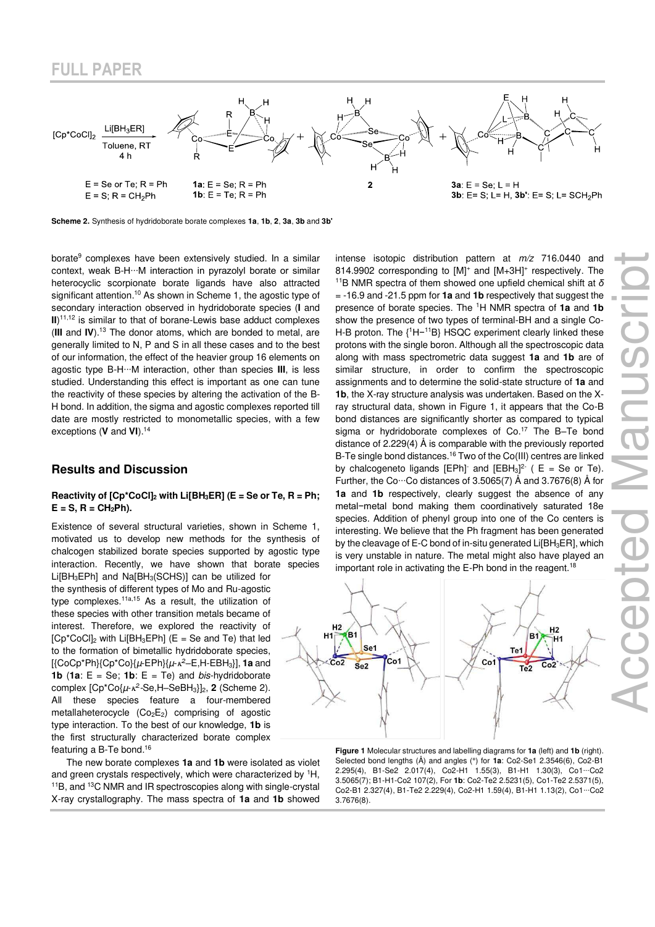

**Scheme 2.** Synthesis of hydridoborate borate complexes **1a**, **1b**, **2**, **3a**, **3b** and **3b'**

borate<sup>9</sup> complexes have been extensively studied. In a similar context, weak B-H∙∙∙M interaction in pyrazolyl borate or similar heterocyclic scorpionate borate ligands have also attracted significant attention.<sup>10</sup> As shown in Scheme 1, the agostic type of secondary interaction observed in hydridoborate species (**I** and **II**)<sup>11,12</sup> is similar to that of borane-Lewis base adduct complexes (**III** and **IV**).<sup>13</sup> The donor atoms, which are bonded to metal, are generally limited to N, P and S in all these cases and to the best of our information, the effect of the heavier group 16 elements on agostic type B-H∙∙∙M interaction, other than species **III**, is less studied. Understanding this effect is important as one can tune the reactivity of these species by altering the activation of the B-H bond. In addition, the sigma and agostic complexes reported till date are mostly restricted to monometallic species, with a few exceptions (**V** and **VI**).<sup>14</sup>

### **Results and Discussion**

#### **Reactivity of [Cp\*CoCl]2 with Li[BH3ER] (E = Se or Te, R = Ph;**   $E = S$ ,  $R = CH<sub>2</sub>Ph$ ).

Existence of several structural varieties, shown in Scheme 1, motivated us to develop new methods for the synthesis of chalcogen stabilized borate species supported by agostic type interaction. Recently, we have shown that borate species

Li $[BH<sub>3</sub>EPh]$  and  $Na[BH<sub>3</sub>(SCHS)]$  can be utilized for the synthesis of different types of Mo and Ru-agostic type complexes.<sup>11a,15</sup> As a result, the utilization of these species with other transition metals became of interest. Therefore, we explored the reactivity of  $[Cp<sup>*</sup>CoCl<sub>2</sub>$  with Li $[BH<sub>3</sub>EPh]$  (E = Se and Te) that led to the formation of bimetallic hydridoborate species, [{CoCp\*Ph}{Cp\*Co}{µ-EPh}{µ- <sup>2</sup>‒E,H-EBH3}], **1a** and **1b** (**1a**:  $E = Se$ ; **1b**:  $E = Te$ ) and *bis-hydridoborate* complex  $[Cp^*Co\{\mu-\kappa^2-Se,H-SeBH_3\}]_2$ , **2** (Scheme 2). All these species feature a four-membered metallaheterocycle  $(Co<sub>2</sub>E<sub>2</sub>)$  comprising of agostic type interaction. To the best of our knowledge, **1b** is the first structurally characterized borate complex featuring a B-Te bond.<sup>16</sup>

The new borate complexes **1a** and **1b** were isolated as violet and green crystals respectively, which were characterized by <sup>1</sup>H, <sup>11</sup>B, and <sup>13</sup>C NMR and IR spectroscopies along with single-crystal X-ray crystallography. The mass spectra of **1a** and **1b** showed intense isotopic distribution pattern at  $m/z$  716.0440 and 814.9902 corresponding to [M]<sup>+</sup> and [M+3H]<sup>+</sup> respectively. The <sup>11</sup>B NMR spectra of them showed one upfield chemical shift at *δ* = -16.9 and -21.5 ppm for **1a** and **1b** respectively that suggest the presence of borate species. The <sup>1</sup>H NMR spectra of **1a** and **1b** show the presence of two types of terminal-BH and a single Co-H-B proton. The {<sup>1</sup>H−<sup>11</sup>B} HSQC experiment clearly linked these protons with the single boron. Although all the spectroscopic data along with mass spectrometric data suggest **1a** and **1b** are of similar structure, in order to confirm the spectroscopic assignments and to determine the solid-state structure of **1a** and **1b**, the X-ray structure analysis was undertaken. Based on the Xray structural data, shown in Figure 1, it appears that the Co-B bond distances are significantly shorter as compared to typical sigma or hydridoborate complexes of Co.<sup>17</sup> The B-Te bond distance of 2.229(4) Å is comparable with the previously reported B-Te single bond distances.<sup>16</sup> Two of the Co(III) centres are linked by chalcogeneto ligands  $[EPh]$  and  $[EBH<sub>3</sub>]<sup>2-</sup>$  (  $E = Se$  or Te). Further, the Co∙∙∙Co distances of 3.5065(7) Å and 3.7676(8) Å for **1a** and **1b** respectively, clearly suggest the absence of any metal−metal bond making them coordinatively saturated 18e species. Addition of phenyl group into one of the Co centers is interesting. We believe that the Ph fragment has been generated by the cleavage of E-C bond of in-situ generated Li[BH<sub>3</sub>ER], which is very unstable in nature. The metal might also have played an important role in activating the E-Ph bond in the reagent.<sup>18</sup>



**Figure 1** Molecular structures and labelling diagrams for **1a** (left) and **1b** (right). Selected bond lengths (Å) and angles (°) for **1a**: Co2-Se1 2.3546(6), Co2-B1 2.295(4), B1-Se2 2.017(4), Co2-H1 1.55(3), B1-H1 1.30(3), Co1∙∙∙Co2 3.5065(7); B1-H1-Co2 107(2), For **1b**: Co2-Te2 2.5231(5), Co1-Te2 2.5371(5), Co2-B1 2.327(4), B1-Te2 2.229(4), Co2-H1 1.59(4), B1-H1 1.13(2), Co1∙∙∙Co2 3.7676(8).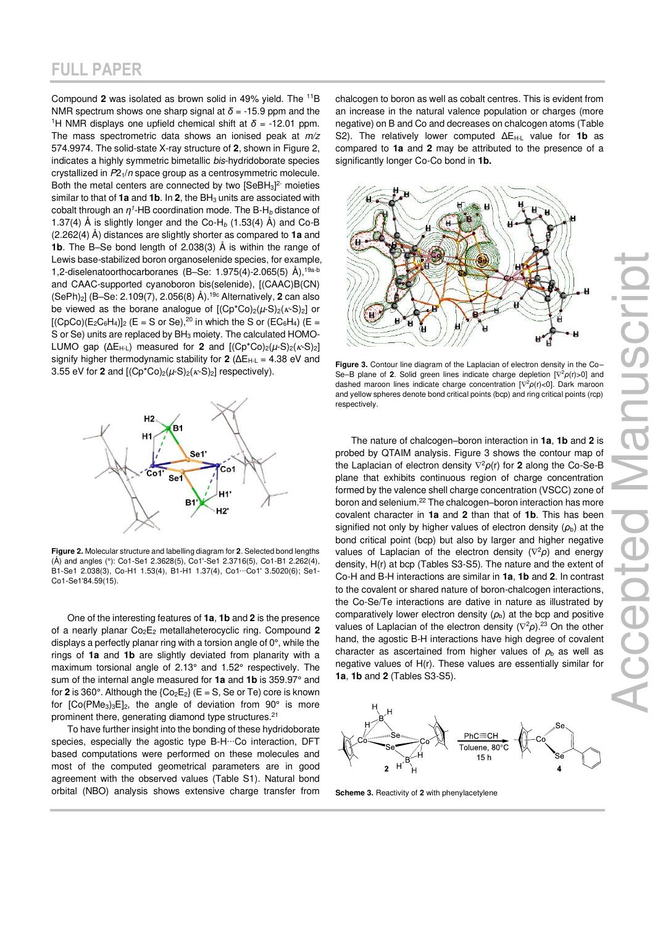Compound **2** was isolated as brown solid in 49% yield. The <sup>11</sup>B NMR spectrum shows one sharp signal at *δ* = -15.9 ppm and the <sup>1</sup>H NMR displays one upfield chemical shift at  $\delta$  = -12.01 ppm. The mass spectrometric data shows an ionised peak at  $m/z$ 574.9974. The solid-state X-ray structure of **2**, shown in Figure 2, indicates a highly symmetric bimetallic bis-hydridoborate species crystallized in  $P2<sub>1</sub>/n$  space group as a centrosymmetric molecule. Both the metal centers are connected by two  $[SeBH<sub>3</sub>]<sup>2</sup>$  moieties similar to that of **1a** and **1b**. In **2**, the BH<sub>3</sub> units are associated with cobalt through an  $\eta$ <sup>1</sup>-HB coordination mode. The B-H<sub>b</sub> distance of 1.37(4) Å is slightly longer and the Co-H<sub>b</sub> (1.53(4) Å) and Co-B (2.262(4) Å) distances are slightly shorter as compared to **1a** and **1b**. The B–Se bond length of 2.038(3) Å is within the range of Lewis base-stabilized boron organoselenide species, for example, 1,2-diselenatoorthocarboranes (B-Se: 1.975(4)-2.065(5)  $\AA$ ),<sup>19a-b</sup> and CAAC-supported cyanoboron bis(selenide), [(CAAC)B(CN) (SePh)2] (B–Se: 2.109(7), 2.056(8) Å).19c Alternatively, **2** can also be viewed as the borane analogue of  $[(Cp^*Co)_2(\mu-S)_2(\kappa-S)_2]$  or  $[(CpCo)(E_2C_6H_4)]_2$  (E = S or Se),<sup>20</sup> in which the S or (EC<sub>6</sub>H<sub>4</sub>) (E = S or Se) units are replaced by BH<sub>3</sub> moiety. The calculated HOMO-LUMO gap  $(\Delta E_{H-L})$  measured for **2** and  $[(Cp^*Co)_2(\mu-S)_2(\kappa-S)_2]$ signify higher thermodynamic stability for **2** (ΔE<sub>H-L</sub> = 4.38 eV and 3.55 eV for **2** and  $[(Cp^*Co)_2(\mu-S)_2(\kappa-S)_2]$  respectively).



**Figure 2.** Molecular structure and labelling diagram for **2**. Selected bond lengths (Å) and angles (°): Co1-Se1 2.3628(5), Co1'-Se1 2.3716(5), Co1-B1 2.262(4), B1-Se1 2.038(3), Co-H1 1.53(4), B1-H1 1.37(4), Co1∙∙∙Co1' 3.5020(6); Se1- Co1-Se1'84.59(15).

One of the interesting features of **1a**, **1b** and **2** is the presence of a nearly planar Co2E2 metallaheterocyclic ring. Compound **2** displays a perfectly planar ring with a torsion angle of 0°, while the rings of **1a** and **1b** are slightly deviated from planarity with a maximum torsional angle of 2.13° and 1.52° respectively. The sum of the internal angle measured for **1a** and **1b** is 359.97° and for 2 is 360°. Although the  ${Co_2E_2}$  ( $E = S$ , Se or Te) core is known for  $[Co(PMe<sub>3</sub>)<sub>3</sub>E]<sub>2</sub>$ , the angle of deviation from  $90^{\circ}$  is more prominent there, generating diamond type structures.<sup>21</sup>

To have further insight into the bonding of these hydridoborate species, especially the agostic type B-H…Co interaction, DFT based computations were performed on these molecules and most of the computed geometrical parameters are in good agreement with the observed values (Table S1). Natural bond orbital (NBO) analysis shows extensive charge transfer from chalcogen to boron as well as cobalt centres. This is evident from an increase in the natural valence population or charges (more negative) on B and Co and decreases on chalcogen atoms (Table S2). The relatively lower computed  $\Delta E_{H-L}$  value for **1b** as compared to **1a** and **2** may be attributed to the presence of a significantly longer Co-Co bond in **1b.**



**Figure 3.** Contour line diagram of the Laplacian of electron density in the Co– Se–B plane of **2**. Solid green lines indicate charge depletion [ <sup>2</sup>*ρ*(r)>0] and dashed maroon lines indicate charge concentration [ <sup>2</sup>*ρ*(r)<0]. Dark maroon and yellow spheres denote bond critical points (bcp) and ring critical points (rcp) respectively.

The nature of chalcogen–boron interaction in **1a**, **1b** and **2** is probed by QTAIM analysis. Figure 3 shows the contour map of the Laplacian of electron density <sup>2</sup>*ρ*(r) for **2** along the Co-Se-B plane that exhibits continuous region of charge concentration formed by the valence shell charge concentration (VSCC) zone of boron and selenium.<sup>22</sup> The chalcogen–boron interaction has more covalent character in **1a** and **2** than that of **1b**. This has been signified not only by higher values of electron density  $(\rho_b)$  at the bond critical point (bcp) but also by larger and higher negative values of Laplacian of the electron density ( $\nabla^2$ ρ) and energy density, H(r) at bcp (Tables S3-S5). The nature and the extent of Co-H and B-H interactions are similar in **1a**, **1b** and **2**. In contrast to the covalent or shared nature of boron-chalcogen interactions, the Co-Se/Te interactions are dative in nature as illustrated by comparatively lower electron density  $(\rho_b)$  at the bcp and positive values of Laplacian of the electron density ( $\nabla^2 \rho$ ).<sup>23</sup> On the other hand, the agostic B-H interactions have high degree of covalent character as ascertained from higher values of  $\rho_{\rm b}$  as well as negative values of H(r). These values are essentially similar for **1a**, **1b** and **2** (Tables S3-S5).



**Scheme 3.** Reactivity of **2** with phenylacetylene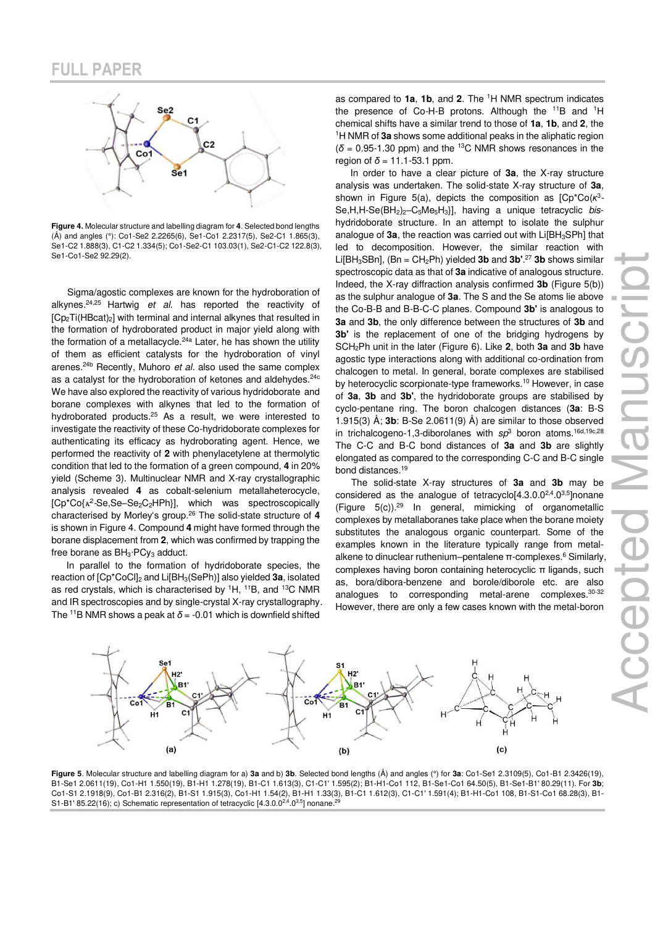

**Figure 4.** Molecular structure and labelling diagram for **4**. Selected bond lengths (Å) and angles (°): Co1-Se2 2.2265(6), Se1-Co1 2.2317(5), Se2-C1 1.865(3), Se1-C2 1.888(3), C1-C2 1.334(5); Co1-Se2-C1 103.03(1), Se2-C1-C2 122.8(3), Se1-Co1-Se2 92.29(2).

Sigma/agostic complexes are known for the hydroboration of alkynes. $24,25$  Hartwig et al. has reported the reactivity of [Cp2Ti(HBcat)2] with terminal and internal alkynes that resulted in the formation of hydroborated product in major yield along with the formation of a metallacycle.<sup>24a</sup> Later, he has shown the utility of them as efficient catalysts for the hydroboration of vinyl arenes.<sup>24b</sup> Recently, Muhoro et al. also used the same complex as a catalyst for the hydroboration of ketones and aldehydes.<sup>24c</sup> We have also explored the reactivity of various hydridoborate and borane complexes with alkynes that led to the formation of hydroborated products.<sup>25</sup> As a result, we were interested to investigate the reactivity of these Co-hydridoborate complexes for authenticating its efficacy as hydroborating agent. Hence, we performed the reactivity of **2** with phenylacetylene at thermolytic condition that led to the formation of a green compound, **4** in 20% yield (Scheme 3). Multinuclear NMR and X-ray crystallographic analysis revealed **4** as cobalt-selenium metallaheterocycle, [Cp\*Co{<sub>K</sub><sup>2</sup>-Se,Se-Se<sub>2</sub>C<sub>2</sub>HPh}], which was spectroscopically characterised by Morley's group.<sup>26</sup> The solid-state structure of **4** is shown in Figure 4. Compound **4** might have formed through the borane displacement from **2**, which was confirmed by trapping the free borane as BH<sub>3</sub>⋅PCy<sub>3</sub> adduct.

In parallel to the formation of hydridoborate species, the reaction of [Cp\*CoCl]2 and Li[BH3(SePh)] also yielded **3a**, isolated as red crystals, which is characterised by <sup>1</sup>H, <sup>11</sup>B, and <sup>13</sup>C NMR and IR spectroscopies and by single-crystal X-ray crystallography. The <sup>11</sup>B NMR shows a peak at  $\delta$  = -0.01 which is downfield shifted

as compared to **1a**, **1b**, and **2**. The <sup>1</sup>H NMR spectrum indicates the presence of Co-H-B protons. Although the <sup>11</sup>B and <sup>1</sup>H chemical shifts have a similar trend to those of **1a**, **1b**, and **2**, the <sup>1</sup>H NMR of **3a** shows some additional peaks in the aliphatic region  $(\delta = 0.95$ -1.30 ppm) and the <sup>13</sup>C NMR shows resonances in the region of  $\delta$  = 11.1-53.1 ppm.

In order to have a clear picture of **3a**, the X-ray structure analysis was undertaken. The solid-state X-ray structure of **3a**, shown in Figure 5(a), depicts the composition as [Cp<sup>\*</sup>Co(κ<sup>3</sup>· Se, H, H-Se(BH<sub>2</sub>)<sub>2</sub>-C<sub>5</sub>Me<sub>5</sub>H<sub>3</sub>}], having a unique tetracyclic bishydridoborate structure. In an attempt to isolate the sulphur analogue of 3a, the reaction was carried out with Li<sup>[BH<sub>3</sub>SPh] that</sup> led to decomposition. However, the similar reaction with  $Li[BH<sub>3</sub>SBn]$ , (Bn =  $CH<sub>2</sub>Ph$ ) yielded **3b** and **3b'**.<sup>27</sup> **3b** shows similar spectroscopic data as that of **3a** indicative of analogous structure. Indeed, the X-ray diffraction analysis confirmed **3b** (Figure 5(b)) as the sulphur analogue of **3a**. The S and the Se atoms lie above the Co-B-B and B-B-C-C planes. Compound **3b'** is analogous to **3a** and **3b**, the only difference between the structures of **3b** and **3b'** is the replacement of one of the bridging hydrogens by SCH2Ph unit in the later (Figure 6). Like **2**, both **3a** and **3b** have agostic type interactions along with additional co-ordination from chalcogen to metal. In general, borate complexes are stabilised by heterocyclic scorpionate-type frameworks.<sup>10</sup> However, in case of **3a**, **3b** and **3b'**, the hydridoborate groups are stabilised by cyclo-pentane ring. The boron chalcogen distances (**3a**: B-S 1.915(3) Å; **3b**: B-Se 2.0611(9) Å) are similar to those observed in trichalcogeno-1,3-diborolanes with  $sp^3$  boron atoms.<sup>16d,19c,28</sup> The C-C and B-C bond distances of **3a** and **3b** are slightly elongated as compared to the corresponding C-C and B-C single bond distances.<sup>19</sup>

The solid-state X-ray structures of **3a** and **3b** may be considered as the analogue of tetracyclo<sup>[4.3.0.0<sup>2,4</sup>.0<sup>3,5</sup>]nonane</sup> (Figure 5(c)).<sup>29</sup> In general, mimicking of organometallic complexes by metallaboranes take place when the borane moiety substitutes the analogous organic counterpart. Some of the examples known in the literature typically range from metalalkene to dinuclear ruthenium–pentalene π-complexes. 6 Similarly, complexes having boron containing heterocyclic π ligands, such as, bora/dibora-benzene and borole/diborole etc. are also analogues to corresponding metal-arene complexes.30-32 However, there are only a few cases known with the metal-boron



**Figure 5**. Molecular structure and labelling diagram for a) **3a** and b) **3b**. Selected bond lengths (Å) and angles (°) for **3a**: Co1-Se1 2.3109(5), Co1-B1 2.3426(19), B1-Se1 2.0611(19), Co1-H1 1.550(19), B1-H1 1.278(19), B1-C1 1.613(3), C1-C1' 1.595(2); B1-H1-Co1 112, B1-Se1-Co1 64.50(5), B1-Se1-B1' 80.29(11). For **3b**; Co1-S1 2.1918(9), Co1-B1 2.316(2), B1-S1 1.915(3), Co1-H1 1.54(2), B1-H1 1.33(3), B1-C1 1.612(3), C1-C1' 1.591(4); B1-H1-Co1 108, B1-S1-Co1 68.28(3), B1- S1-B1' 85.22(16); c) Schematic representation of tetracyclic  $[4.3.0.0^{2,4}.0^{3,5}]$  nonane.<sup>2</sup>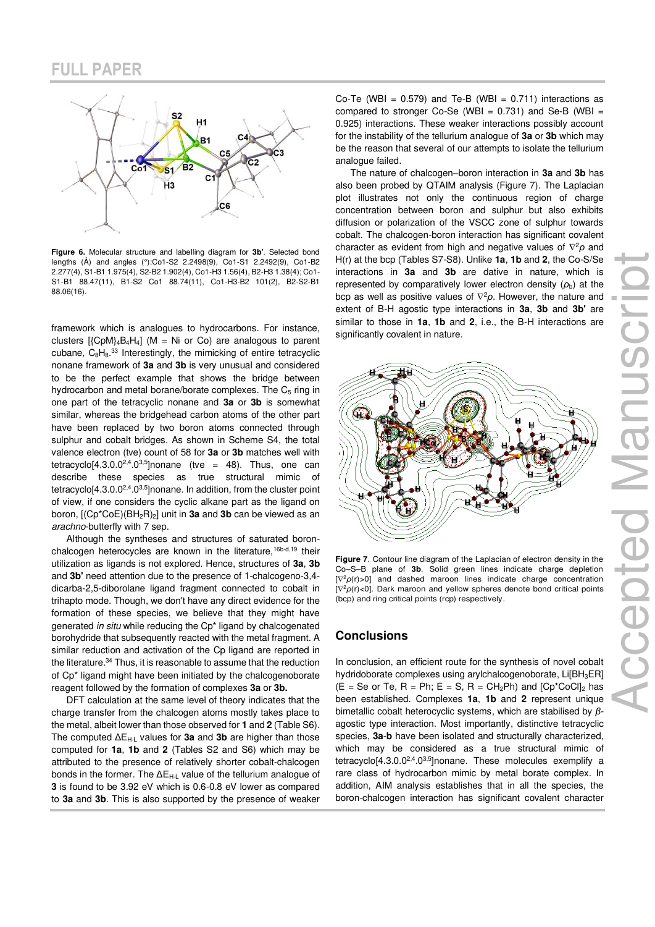

**Figure 6.** Molecular structure and labelling diagram for **3b'**. Selected bond lengths (Å) and angles (°):Co1-S2 2.2498(9), Co1-S1 2.2492(9), Co1-B2 2.277(4), S1-B1 1.975(4), S2-B2 1.902(4), Co1-H3 1.56(4), B2-H3 1.38(4); Co1- S1-B1 88.47(11), B1-S2 Co1 88.74(11), Co1-H3-B2 101(2), B2-S2-B1 88.06(16).

framework which is analogues to hydrocarbons. For instance, clusters  $[{CDM}_4B_4H_4]$  (M = Ni or Co) are analogous to parent cubane,  $C_8H_8^{33}$  Interestingly, the mimicking of entire tetracyclic nonane framework of **3a** and **3b** is very unusual and considered to be the perfect example that shows the bridge between hydrocarbon and metal borane/borate complexes. The  $C_5$  ring in one part of the tetracyclic nonane and **3a** or **3b** is somewhat similar, whereas the bridgehead carbon atoms of the other part have been replaced by two boron atoms connected through sulphur and cobalt bridges. As shown in Scheme S4, the total valence electron (tve) count of 58 for **3a** or **3b** matches well with tetracyclo[4.3.0.0<sup>2,4</sup>.0<sup>3,5</sup>]nonane (tve = 48). Thus, one can describe these species as true structural mimic of tetracyclo[4.3.0.0<sup>2,4</sup>.0<sup>3,5</sup>]nonane. In addition, from the cluster point of view, if one considers the cyclic alkane part as the ligand on boron, [(Cp\*CoE)(BH2R)2] unit in **3a** and **3b** can be viewed as an arachno-butterfly with 7 sep.

Although the syntheses and structures of saturated boronchalcogen heterocycles are known in the literature,<sup>16b-d,19</sup> their utilization as ligands is not explored. Hence, structures of **3a**, **3b**  and **3b'** need attention due to the presence of 1-chalcogeno-3,4 dicarba-2,5-diborolane ligand fragment connected to cobalt in trihapto mode. Though, we don't have any direct evidence for the formation of these species, we believe that they might have generated in situ while reducing the Cp\* ligand by chalcogenated borohydride that subsequently reacted with the metal fragment. A similar reduction and activation of the Cp ligand are reported in the literature.<sup>34</sup> Thus, it is reasonable to assume that the reduction of Cp\* ligand might have been initiated by the chalcogenoborate reagent followed by the formation of complexes **3a** or **3b.** 

DFT calculation at the same level of theory indicates that the charge transfer from the chalcogen atoms mostly takes place to the metal, albeit lower than those observed for **1** and **2** (Table S6). The computed ΔEH-L values for **3a** and **3b** are higher than those computed for **1a**, **1b** and **2** (Tables S2 and S6) which may be attributed to the presence of relatively shorter cobalt-chalcogen bonds in the former. The ΔE<sub>H-L</sub> value of the tellurium analogue of **3** is found to be 3.92 eV which is 0.6-0.8 eV lower as compared to **3a** and **3b**. This is also supported by the presence of weaker

Co-Te (WBI =  $0.579$ ) and Te-B (WBI =  $0.711$ ) interactions as compared to stronger Co-Se (WBI =  $0.731$ ) and Se-B (WBI = 0.925) interactions. These weaker interactions possibly account for the instability of the tellurium analogue of **3a** or **3b** which may be the reason that several of our attempts to isolate the tellurium analogue failed.

The nature of chalcogen–boron interaction in **3a** and **3b** has also been probed by QTAIM analysis (Figure 7). The Laplacian plot illustrates not only the continuous region of charge concentration between boron and sulphur but also exhibits diffusion or polarization of the VSCC zone of sulphur towards cobalt. The chalcogen-boron interaction has significant covalent character as evident from high and negative values of <sup>2</sup>*ρ* and H(r) at the bcp (Tables S7-S8). Unlike **1a**, **1b** and **2**, the Co-S/Se interactions in **3a** and **3b** are dative in nature, which is represented by comparatively lower electron density  $(\rho_b)$  at the bcp as well as positive values of <sup>2</sup>*ρ*. However, the nature and extent of B-H agostic type interactions in **3a**, **3b** and **3b'** are similar to those in **1a**, **1b** and **2**, i.e., the B-H interactions are significantly covalent in nature.



**Figure 7**. Contour line diagram of the Laplacian of electron density in the Co–S–B plane of **3b**. Solid green lines indicate charge depletion  $[\nabla^2 \rho(r) > 0]$  and dashed maroon lines indicate charge concentration [ $\nabla^2 \rho(r)$ <0]. Dark maroon and yellow spheres denote bond critical points (bcp) and ring critical points (rcp) respectively.

#### **Conclusions**

In conclusion, an efficient route for the synthesis of novel cobalt hydridoborate complexes using arylchalcogenoborate, Li[BH<sub>3</sub>ER]  $(E = Se or Te, R = Ph; E = S, R = CH<sub>2</sub>Ph)$  and  $[Cp<sup>*</sup>CoCl]<sub>2</sub>$  has been established. Complexes **1a**, **1b** and **2** represent unique bimetallic cobalt heterocyclic systems, which are stabilised by *β*agostic type interaction. Most importantly, distinctive tetracyclic species, **3a**-**b** have been isolated and structurally characterized, which may be considered as a true structural mimic of tetracyclo[4.3.0.0<sup>2,4</sup>.0<sup>3,5</sup>]nonane. These molecules exemplify a rare class of hydrocarbon mimic by metal borate complex. In addition, AIM analysis establishes that in all the species, the boron-chalcogen interaction has significant covalent character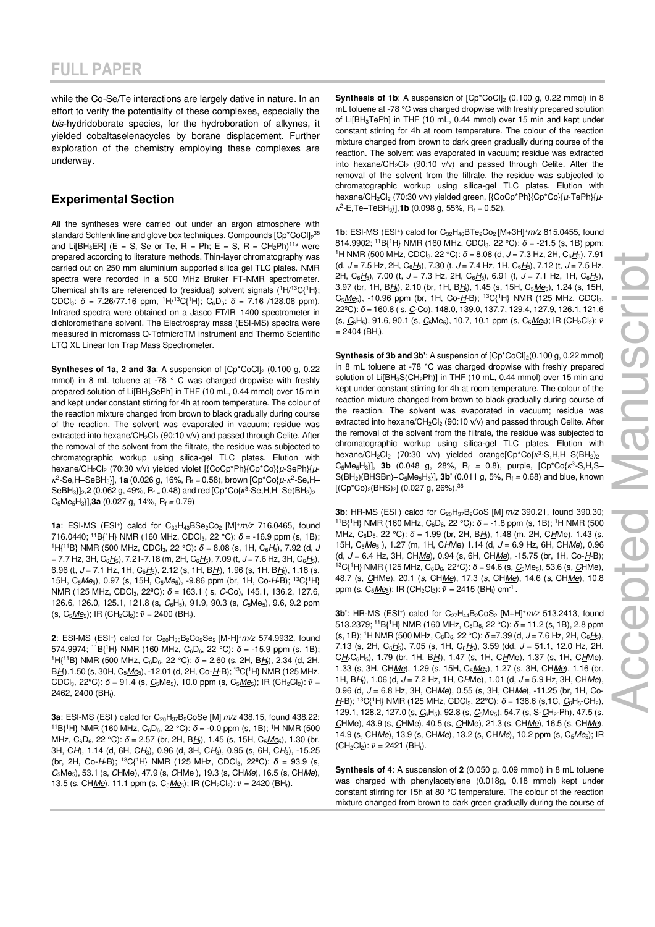while the Co-Se/Te interactions are largely dative in nature. In an effort to verify the potentiality of these complexes, especially the bis-hydridoborate species, for the hydroboration of alkynes, it yielded cobaltaselenacycles by borane displacement. Further exploration of the chemistry employing these complexes are underway.

### **Experimental Section**

All the syntheses were carried out under an argon atmosphere with standard Schlenk line and glove box techniques. Compounds [Cp\*CoCl]<sub>2</sub>35 and Li[BH<sub>3</sub>ER] (E = S, Se or Te, R = Ph; E = S, R =  $CH_2Ph$ )<sup>11a</sup> were prepared according to literature methods. Thin-layer chromatography was carried out on 250 mm aluminium supported silica gel TLC plates. NMR spectra were recorded in a 500 MHz Bruker FT-NMR spectrometer. Chemical shifts are referenced to (residual) solvent signals  $(^1H/^{13}C(^1H);$ CDCl<sub>3</sub>:  $\delta$  = 7.26/77.16 ppm, <sup>1</sup>H/<sup>13</sup>C{<sup>1</sup>H}; C<sub>6</sub>D<sub>6</sub>:  $\delta$  = 7.16 /128.06 ppm). Infrared spectra were obtained on a Jasco FT/IR–1400 spectrometer in dichloromethane solvent. The Electrospray mass (ESI-MS) spectra were measured in micromass Q-TofmicroTM instrument and Thermo Scientific LTQ XL Linear Ion Trap Mass Spectrometer.

**Syntheses of 1a, 2 and 3a:** A suspension of  $[Cp*CoCl]_2$  (0.100 g, 0.22 mmol) in 8 mL toluene at -78 ° C was charged dropwise with freshly prepared solution of Li[BH<sub>3</sub>SePh] in THF (10 mL, 0.44 mmol) over 15 min and kept under constant stirring for 4h at room temperature. The colour of the reaction mixture changed from brown to black gradually during course of the reaction. The solvent was evaporated in vacuum; residue was extracted into hexane/ $CH_2Cl_2$  (90:10 v/v) and passed through Celite. After the removal of the solvent from the filtrate, the residue was subjected to chromatographic workup using silica-gel TLC plates. Elution with hexane/CH<sub>2</sub>Cl<sub>2</sub> (70:30 v/v) yielded violet [{CoCp\*Ph}{Cp\*Co}{µ-SePh}{µ- $\kappa^2$ -Se,H-SeBH<sub>3</sub>}], **1a** (0.026 g, 16%, R<sub>f</sub> = 0.58), brown [Cp\*Co{ $\mu$ - $\kappa^2$ -Se,H-SeBH<sub>3</sub>}]<sub>2</sub>,**2** (0.062 g, 49%, R<sub>f =</sub> 0.48) and red [Cp\*Co{κ<sup>3</sup>-Se,H,H–Se(BH<sub>2</sub>)<sub>2</sub>–  $C_5Me_5H_3$ ],**3a** (0.027 g, 14%,  $R_f = 0.79$ )

**1a**: ESI-MS (ESI<sup>+</sup>) calcd for C<sub>32</sub>H<sub>43</sub>BSe<sub>2</sub>Co<sub>2</sub> [M]<sup>+</sup>m/z 716.0465, found 716.0440; <sup>11</sup>B{<sup>1</sup>H} NMR (160 MHz, CDCl<sub>3</sub>, 22 °C):  $\delta$  = -16.9 ppm (s, 1B); <sup>1</sup>H{<sup>11</sup>B} NMR (500 MHz, CDCl<sub>3</sub>, 22 °C):  $\delta$  = 8.08 (s, 1H, C<sub>6</sub>H<sub>5</sub>), 7.92 (d, J = 7.7 Hz, 3H,  $C_6H_5$ ), 7.21-7.18 (m, 2H,  $C_6H_5$ ), 7.09 (t, J = 7.6 Hz, 3H,  $C_6H_5$ ), 6.96 (t,  $J = 7.1$  Hz, 1H,  $C_6H_5$ ), 2.12 (s, 1H, B $H_1$ ), 1.96 (s, 1H, B $H_1$ ), 1.18 (s, 15H,  $C_5Me_5$ ), 0.97 (s, 15H,  $C_5Me_5$ ), -9.86 ppm (br, 1H, Co- $H$ -B); <sup>13</sup>C{<sup>1</sup>H} NMR (125 MHz, CDCl<sub>3</sub>, 22<sup>o</sup>C): δ = 163.1 (s, <u>C</u>-Co), 145.1, 136.2, 127.6, 126.6, 126.0, 125.1, 121.8 (s,  $C_6H_5$ ), 91.9, 90.3 (s,  $C_5Me_5$ ), 9.6, 9.2 ppm (s,  $C_5$ *Me*<sub>5</sub>); IR (CH<sub>2</sub>Cl<sub>2</sub>):  $\tilde{v}$  = 2400 (BH<sub>t</sub>).

2: ESI-MS (ESI<sup>+</sup>) calcd for C<sub>20</sub>H<sub>35</sub>B<sub>2</sub>Co<sub>2</sub>Se<sub>2</sub> [M-H]<sup>+</sup>m/z 574.9932, found 574.9974; <sup>11</sup>B{<sup>1</sup>H} NMR (160 MHz, C6D6, 22 °C): *δ* = -15.9 ppm (s, 1B); <sup>1</sup>H{<sup>11</sup>B} NMR (500 MHz, C<sub>6</sub>D<sub>6</sub>, 22 °C):  $\delta$  = 2.60 (s, 2H, B<u>H</u><sub>t</sub>), 2.34 (d, 2H,  $B_{\text{H}_1}$ ), 1.50 (s, 30H, C<sub>5</sub>Me<sub>5</sub>), -12.01 (d, 2H, Co- $H$ -B); <sup>13</sup>C{<sup>1</sup>H} NMR (125 MHz, CDCl<sub>3</sub>, 22<sup>°</sup>C):  $\delta$  = 91.4 (s,  $C_5$ Me<sub>5</sub>), 10.0 ppm (s, C<sub>5</sub>*Me<sub>5</sub>*); IR (CH<sub>2</sub>Cl<sub>2</sub>):  $\tilde{v}$  = 2462, 2400 (BH<sub>t</sub>).

**3a**: ESI-MS (ESI<sup>-</sup>) calcd for C<sub>20</sub>H<sub>37</sub>B<sub>2</sub>CoSe [M]- $m/z$  438.15, found 438.22; <sup>11</sup>B{<sup>1</sup>H} NMR (160 MHz, C<sub>6</sub>D<sub>6</sub>, 22 °C):  $\delta$  = -0.0 ppm (s, 1B); <sup>1</sup>H NMR (500 MHz, C<sub>6</sub>D<sub>6</sub>, 22 °C):  $\delta$  = 2.57 (br, 2H, B<u>H</u><sub>t</sub>), 1.45 (s, 15H, C<sub>5</sub>Me<sub>5</sub>), 1.30 (br, 3H, CH), 1.14 (d, 6H, CH<sub>3</sub>), 0.96 (d, 3H, CH<sub>3</sub>), 0.95 (s, 6H, CH<sub>3</sub>), -15.25 (br, 2H, Co-H-B); <sup>13</sup>C{<sup>1</sup>H} NMR (125 MHz, CDCl3, 22ºC): *δ* = 93.9 (s, C<sub>5</sub>Me<sub>5</sub>), 53.1 (s, CHMe), 47.9 (s, CHMe), 19.3 (s, CH<u>Me),</u> 16.5 (s, CHMe), 13.5 (s, CH<u>Me</u>), 11.1 ppm (s, C<sub>5</sub>Me<sub>5</sub>); IR (CH<sub>2</sub>Cl<sub>2</sub>):  $\tilde{v} = 2420$  (BH<sub>t</sub>).

**Synthesis of 1b:** A suspension of  $[Cp*CoCI]_2$  (0.100 g, 0.22 mmol) in 8 mL toluene at -78 °C was charged dropwise with freshly prepared solution of Li[BH3TePh] in THF (10 mL, 0.44 mmol) over 15 min and kept under constant stirring for 4h at room temperature. The colour of the reaction mixture changed from brown to dark green gradually during course of the reaction. The solvent was evaporated in vacuum; residue was extracted into hexane/CH<sub>2</sub>Cl<sub>2</sub> (90:10 v/v) and passed through Celite. After the removal of the solvent from the filtrate, the residue was subjected to chromatographic workup using silica-gel TLC plates. Elution with hexane/CH<sub>2</sub>Cl<sub>2</sub> (70:30 v/v) yielded green, [{CoCp\*Ph}{Cp\*Co}{µ-TePh}{µ- $\kappa^2$ -E,Te-TeBH<sub>3</sub>}],**1b** (0.098 g, 55%, R<sub>f</sub> = 0.52).

**1b**: ESI-MS (ESI<sup>+</sup>) calcd for C<sub>32</sub>H<sub>46</sub>BTe<sub>2</sub>Co<sub>2</sub> [M+3H]<sup>+</sup>m/z 815.0455, found 814.9902; <sup>11</sup>B{<sup>1</sup>H} NMR (160 MHz, CDCl<sub>3</sub>, 22 °C):  $\delta$  = -21.5 (s, 1B) ppm; <sup>1</sup>H NMR (500 MHz, CDCl<sub>3</sub>, 22 °C):  $\delta$  = 8.08 (d, J = 7.3 Hz, 2H, C<sub>6</sub>H<sub>5</sub>), 7.91 (d,  $J = 7.5$  Hz, 2H,  $C_6H_5$ ), 7.30 (t,  $J = 7.4$  Hz, 1H,  $C_6H_5$ ), 7.12 (t,  $J = 7.5$  Hz, 2H, C<sub>6</sub>H<sub>5</sub>), 7.00 (t, J = 7.3 Hz, 2H, C<sub>6</sub>H<sub>5</sub>), 6.91 (t, J = 7.1 Hz, 1H, C<sub>6</sub>H<sub>5</sub>), 3.97 (br, 1H, BH<sub>t</sub>), 2.10 (br, 1H, BH<sub>t</sub>), 1.45 (s, 15H, C<sub>5</sub>Me<sub>5</sub>), 1.24 (s, 15H,  $C_5Me_5$ ), -10.96 ppm (br, 1H, Co- $H$ -B); <sup>13</sup>C{<sup>1</sup>H} NMR (125 MHz, CDCl<sub>3</sub>, 22<sup>°</sup>C):  $\delta$  = 160.8 (s, <u>C</u>-Co), 148.0, 139.0, 137.7, 129.4, 127.9, 126.1, 121.6 (s,  $C_6H_5$ ), 91.6, 90.1 (s,  $C_5Me_5$ ), 10.7, 10.1 ppm (s,  $C_5Me_5$ ); IR (CH<sub>2</sub>Cl<sub>2</sub>):  $\tilde{v}$  $= 2404$  (BH;).

**Synthesis of 3b and 3b':** A suspension of  $[Cp^*CoCl_2(0.100 g, 0.22 mmol)]$ in 8 mL toluene at -78 °C was charged dropwise with freshly prepared solution of Li[BH<sub>3</sub>S(CH<sub>2</sub>Ph)] in THF (10 mL, 0.44 mmol) over 15 min and kept under constant stirring for 4h at room temperature. The colour of the reaction mixture changed from brown to black gradually during course of the reaction. The solvent was evaporated in vacuum; residue was extracted into hexane/CH<sub>2</sub>Cl<sub>2</sub> (90:10 v/v) and passed through Celite. After the removal of the solvent from the filtrate, the residue was subjected to chromatographic workup using silica-gel TLC plates. Elution with hexane/CH<sub>2</sub>Cl<sub>2</sub> (70:30 v/v) yielded orange[Cp\*Co{κ<sup>3</sup>-S,H,H-S(BH<sub>2</sub>)<sub>2</sub>-C<sub>5</sub>Me<sub>5</sub>H<sub>3</sub>}], **3b** (0.048 g, 28%, R<sub>f</sub> = 0.8), purple, [Cp<sup>\*</sup>Co{*κ*<sup>3</sup>-S,H,S-S(BH2)(BHSBn)‒C5Me5H3}], **3b'** (0.011 g, 5%, R<sup>f</sup> = 0.68) and blue, known  $[({Cp*Co})_2({BHS})_2]$  (0.027 g, 26%).<sup>36</sup>

**3b**: HR-MS (ESI<sup>-</sup>) calcd for C<sub>20</sub>H<sub>37</sub>B<sub>2</sub>CoS [M]- $m/z$  390.21, found 390.30; <sup>11</sup>B{<sup>1</sup>H} NMR (160 MHz, C<sub>6</sub>D<sub>6</sub>, 22 °C):  $\delta$  = -1.8 ppm (s, 1B); <sup>1</sup>H NMR (500 MHz, C<sub>6</sub>D<sub>6</sub>, 22 °C): δ = 1.99 (br, 2H, B<u>H</u><sub>t</sub>), 1.48 (m, 2H, CHMe), 1.43 (s, 15H, C<sub>5</sub>Me<sub>5</sub>), 1.27 (m, 1H, CHMe) 1.14 (d, J = 6.9 Hz, 6H, CHMe), 0.96 (d,  $J = 6.4$  Hz, 3H, CHMe), 0.94 (s, 6H, CHMe), -15.75 (br, 1H, Co- $H$ -B); <sup>13</sup>C{<sup>1</sup>H} NMR (125 MHz, C<sub>6</sub>D<sub>6</sub>, 22<sup>o</sup>C):  $\delta$  = 94.6 (s, <u>C</u><sub>5</sub>Me<sub>5</sub>), 53.6 (s, <u>C</u>HMe), 48.7 (s, *C*HMe), 20.1 (s, CHMe), 17.3 (s, CHMe), 14.6 (s, CHMe), 10.8 ppm (s, C<sub>5</sub><u>Me<sub>5</sub></u>); IR (CH<sub>2</sub>Cl<sub>2</sub>):  $\tilde{v} = 2415$  (BH<sub>t</sub>) cm<sup>-1</sup>.

**3b'**: HR-MS (ESI<sup>+</sup>) calcd for C<sub>27</sub>H<sub>44</sub>B<sub>2</sub>CoS<sub>2</sub> [M+H]<sup>+</sup>m/z 513.2413, found 513.2379; <sup>11</sup>B{<sup>1</sup>H} NMR (160 MHz, C<sub>6</sub>D<sub>6</sub>, 22 °C):  $\delta$  = 11.2 (s, 1B), 2.8 ppm (s, 1B); <sup>1</sup>H NMR (500 MHz,  $C_6D_6$ , 22 °C):  $\delta$  =7.39 (d, J = 7.6 Hz, 2H,  $C_6H_5$ ), 7.13 (s, 2H,  $C_6H_5$ ), 7.05 (s, 1H,  $C_6H_5$ ), 3.59 (dd, J = 51.1, 12.0 Hz, 2H,  $C_{\frac{H_2}{C_6}H_5}$ , 1.79 (br, 1H, B $H_1$ ), 1.47 (s, 1H, C $H_2$ Me), 1.37 (s, 1H, C $H_2$ Me), 1.33 (s, 3H, CHMe), 1.29 (s, 15H, C<sub>5</sub>Me<sub>5</sub>), 1.27 (s, 3H, CHMe), 1.16 (br, 1H, B $H_1$ , 1.06 (d, J = 7.2 Hz, 1H, C $H_1$ Me), 1.01 (d, J = 5.9 Hz, 3H, CH $Me$ ),</u> 0.96 (d, J = 6.8 Hz, 3H, CHMe), 0.55 (s, 3H, CHMe), -11.25 (br, 1H, Co- $H$ -B); <sup>13</sup>C{<sup>1</sup>H} NMR (125 MHz, CDCl<sub>3</sub>, 22<sup>o</sup>C):  $\delta$  = 138.6 (s, 1C,  $C_6$ H<sub>5</sub>-CH<sub>2</sub>), 129.1, 128.2, 127.0 (s,  $C_6H_5$ ), 92.8 (s,  $C_5Me_5$ ), 54.7 (s, S- $C_7H_2-Ph$ ), 47.5 (s, CHMe), 43.9 (s, CHMe), 40.5 (s, CHMe), 21.3 (s, CHMe), 16.5 (s, CHMe), 14.9 (s, CHMe), 13.9 (s, CHMe), 13.2 (s, CHMe), 10.2 ppm (s, C<sub>5</sub>Me<sub>5</sub>); IR  $(CH_2Cl_2): \tilde{v} = 2421$  (BH<sub>t</sub>).

**Synthesis of 4**: A suspension of **2** (0.050 g, 0.09 mmol) in 8 mL toluene was charged with phenylacetylene (0.018g, 0.18 mmol) kept under constant stirring for 15h at 80 °C temperature. The colour of the reaction mixture changed from brown to dark green gradually during the course of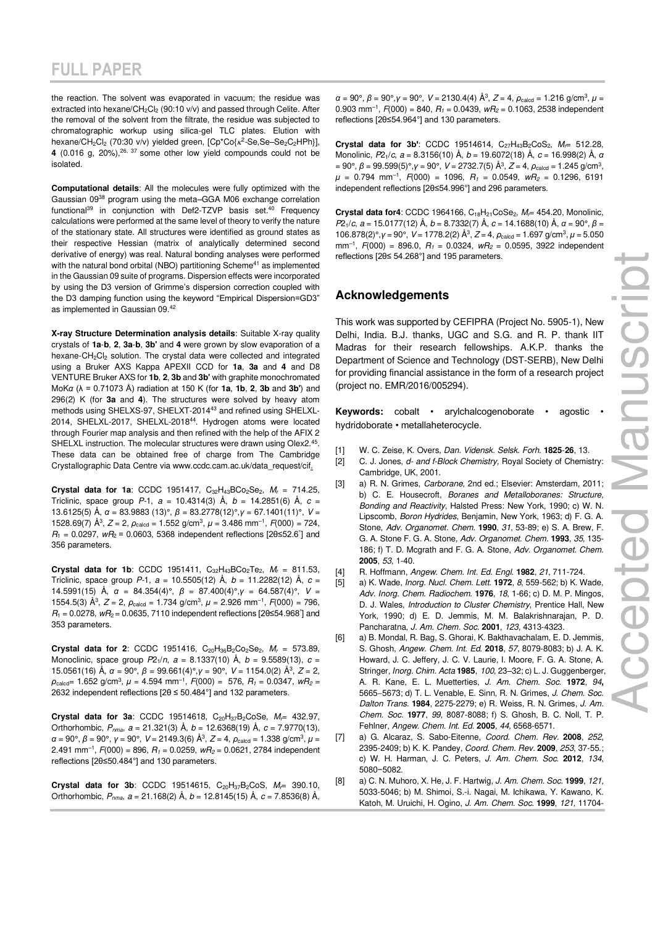the reaction. The solvent was evaporated in vacuum; the residue was extracted into hexane/CH<sub>2</sub>Cl<sub>2</sub> (90:10 v/v) and passed through Celite. After the removal of the solvent from the filtrate, the residue was subjected to chromatographic workup using silica-gel TLC plates. Elution with hexane/CH<sub>2</sub>Cl<sub>2</sub> (70:30 v/v) yielded green, [Cp\*Co{*k*<sup>2</sup>-Se,Se-Se<sub>2</sub>C<sub>2</sub>HPh}], **4** (0.016 g,  $20\%$ ),  $26.37$  some other low yield compounds could not be isolated.

**Computational details**: All the molecules were fully optimized with the Gaussian 09<sup>38</sup> program using the meta–GGA M06 exchange correlation functional<sup>39</sup> in conjunction with Def2-TZVP basis set.<sup>40</sup> Frequency calculations were performed at the same level of theory to verify the nature of the stationary state. All structures were identified as ground states as their respective Hessian (matrix of analytically determined second derivative of energy) was real. Natural bonding analyses were performed with the natural bond orbital (NBO) partitioning Scheme<sup>41</sup> as implemented in the Gaussian 09 suite of programs. Dispersion effects were incorporated by using the D3 version of Grimme's dispersion correction coupled with the D3 damping function using the keyword "Empirical Dispersion=GD3" as implemented in Gaussian 09.<sup>42</sup>

**X-ray Structure Determination analysis details**: Suitable X-ray quality crystals of **1a**-**b**, **2**, **3a**-**b**, **3b'** and **4** were grown by slow evaporation of a hexane-CH<sub>2</sub>Cl<sub>2</sub> solution. The crystal data were collected and integrated using a Bruker AXS Kappa APEXII CCD for **1a**, **3a** and **4** and D8 VENTURE Bruker AXS for **1b**, **2**, **3b** and **3b'** with graphite monochromated MoK*α* (λ = 0.71073 Å) radiation at 150 K (for **1a**, **1b**, **2**, **3b** and **3b'**) and 296(2) K (for **3a** and **4**). The structures were solved by heavy atom methods using SHELXS-97, SHELXT-201443 and refined using SHELXL-2014, SHELXL-2017, SHELXL-2018<sup>44</sup>. Hydrogen atoms were located through Fourier map analysis and then refined with the help of the AFIX 2 SHELXL instruction. The molecular structures were drawn using Olex2.<sup>45</sup>. These data can be obtained free of charge from The Cambridge Crystallographic Data Centre vi[a www.ccdc.cam.ac.uk/data\\_request/cif.](http://www.ccdc.cam.ac.uk/data_request/cif) 

**Crystal data for 1a:** CCDC [1951417,](https://www.ccdc.cam.ac.uk/mystructures/viewinaccessstructures/061ea5b8-f8ce-e911-967f-00505695f620)  $C_{32}H_{43}BCo_2Se_2$ ,  $M_r = 714.25$ , Triclinic, space group  $P-1$ ,  $a = 10.4314(3)$  Å,  $b = 14.2851(6)$  Å,  $c =$ 13.6125(5) Å, *α* = 83.9883 (13)°, *β* = 83.2778(12)°,*γ* = 67.1401(11)°, V = 1528.69(7)  $\check{A}^3$ ,  $Z = 2$ ,  $\rho_{\text{calcd}} = 1.552$  g/cm<sup>3</sup>,  $\mu = 3.486$  mm<sup>-1</sup>,  $F(000) = 724$ ,  $R_1 = 0.0297$ ,  $wR_2 = 0.0603$ , 5368 independent reflections [20 ≤52.6°] and 356 parameters.

**Crystal data for 1b:** CCDC 1951411,  $C_{32}H_{43}BCo_2Te_2$ ,  $M_r = 811.53$ , Triclinic, space group P-1,  $a = 10.5505(12)$  Å,  $b = 11.2282(12)$  Å,  $c =$ 14.5991(15) Å, *α* = 84.354(4)°, *β* = 87.400(4)°,*γ* = 64.587(4)°, V = 1554.5(3)  $\AA^3$ ,  $Z = 2$ ,  $\rho_{\text{calcd}} = 1.734$  g/cm<sup>3</sup>,  $\mu = 2.926$  mm<sup>-1</sup>,  $F(000) = 796$ ,  $R_1 = 0.0278$ ,  $wR_2 = 0.0635$ , 7110 independent reflections [2 $\theta \le 54.968^\circ$ ] and 353 parameters.

**Crystal data for 2:** CCDC 1951416,  $C_{20}H_{36}B_2Co_2Se_2$ ,  $M_r = 573.89$ , Monoclinic, space group  $P2_1/n$ ,  $a = 8.1337(10)$  Å,  $b = 9.5589(13)$ ,  $c =$ 15.0561(16) Å, *α* = 90°, *β* = 99.661(4)°,*γ* = 90°, V = 1154.0(2) Å<sup>3</sup> , Z = 2,  $\rho_{\text{calcd}}$ = 1.652 g/cm<sup>3</sup>,  $\mu$  = 4.594 mm<sup>-1</sup>,  $F(000)$  = 576,  $R_1$  = 0.0347,  $wR_2$  = 2632 independent reflections [2θ ≤ 50.484°] and 132 parameters.

**Crystal data for 3a**: CCDC 19514618, C<sub>20</sub>H<sub>37</sub>B<sub>2</sub>CoSe, M<sub>r</sub>= 432.97, Orthorhombic,  $P_{nma}$ ,  $a = 21.321(3)$  Å,  $b = 12.6368(19)$  Å,  $c = 7.9770(13)$ , *α* = 90°, *β* = 90°, *γ* = 90°, *V* = 2149.3(6) Å<sup>3</sup>, *Z* = 4, *ρ*<sub>calcd</sub> = 1.338 g/cm<sup>3</sup>, *μ* = 2.491 mm<sup>-1</sup>,  $F(000) = 896$ ,  $R_1 = 0.0259$ ,  $wR_2 = 0.0621$ , 2784 independent reflections [2θ≤50.484°] and 130 parameters.

**Crystal data for 3b:** CCDC 19514615,  $C_{20}H_{37}B_{2}CoS$ ,  $M_{\text{r}}=$  390.10, Orthorhombic,  $P_{nma}$ ,  $a = 21.168(2)$  Å,  $b = 12.8145(15)$  Å,  $c = 7.8536(8)$  Å,

*α* = 90°, *β* = 90°, *γ* = 90°, *V* = 2130.4(4) Å<sup>3</sup>, *Z* = 4, *ρ*<sub>calcd</sub> = 1.216 g/cm<sup>3</sup>, *μ* = 0.903 mm<sup>-1</sup>,  $F(000) = 840$ ,  $R_1 = 0.0439$ ,  $wR_2 = 0.1063$ , 2538 independent reflections [2θ≤54.964°] and 130 parameters.

**Crystal data for 3b':** CCDC 19514614, C<sub>27</sub>H<sub>43</sub>B<sub>2</sub>CoS<sub>2</sub>, M<sub>r</sub>= 512.28, Monolinic, P21/c, a = 8.3156(10) Å, b = 19.6072(18) Å, c = 16.998(2) Å, *α* = 90°, *β* = 99.599(5)°,*γ* = 90°, *V* = 2732.7(5) Å<sup>3</sup>, *Z* = 4, *ρ*<sub>calcd</sub> = 1.245 g/cm<sup>3</sup>,  $\mu$  = 0.794 mm<sup>-1</sup>, *F*(000) = 1096, *R*<sub>1</sub> = 0.0549, *wR*<sub>2</sub> = 0.1296, 6191 independent reflections [2θ≤54.996°] and 296 parameters.

**Crystal data for4**: CCDC 1964166, C<sub>18</sub>H<sub>21</sub>CoSe<sub>2</sub>, M<sub>r</sub>= 454.20, Monolinic, P21/c, a = 15.0177(12) Å, b = 8.7332(7) Å, c = 14.1688(10) Å, *α* = 90°, *β* = 106.878(2)°, *γ* = 90°, *V* = 1778.2(2) Å<sup>3</sup>, *Z* = 4, *ρ*<sub>calcd</sub> = 1.697 g/cm<sup>3</sup>, *μ* = 5.050  $mm^{-1}$ ,  $F(000) = 896.0$ ,  $R_1 = 0.0324$ ,  $wR_2 = 0.0595$ , 3922 independent reflections [2θ≤ 54.268°] and 195 parameters.

### **Acknowledgements**

This work was supported by CEFIPRA (Project No. 5905-1), New Delhi, India. B.J. thanks, UGC and S.G. and R. P. thank IIT Madras for their research fellowships. A.K.P. thanks the Department of Science and Technology (DST-SERB), New Delhi for providing financial assistance in the form of a research project (project no. EMR/2016/005294).

**Keywords:** cobalt • arylchalcogenoborate • agostic • hydridoborate • metallaheterocycle.

- [1] W. C. Zeise, K. Overs, Dan. Vidensk. Selsk. Forh. **1825**-**26**, 13.
- [2] C. J. Jones, d- and f-Block Chemistry, Royal Society of Chemistry: Cambridge, UK, 2001.
- [3] a) R. N. Grimes, Carborane, 2nd ed.; Elsevier: Amsterdam, 2011; b) C. E. Housecroft, Boranes and Metalloboranes: Structure, Bonding and Reactivity, Halsted Press: New York, 1990; c) W. N. Lipscomb, Boron Hydrides, Benjamin, New York, 1963; d) F. G. A. Stone, Adv. Organomet. Chem. **1990**, 31, 53-89; e) S. A. Brew, F. G. A. Stone F. G. A. Stone, Adv. Organomet. Chem. **1993**, 35, 135- 186; f) T. D. Mcgrath and F. G. A. Stone, Adv. Organomet. Chem. **2005**, 53, 1-40.
- [4] R. Hoffmann, Angew. Chem. Int. Ed. Engl. **1982**, 21, 711-724.
- [5] a) K. Wade, Inorg. Nucl. Chem. Lett. **1972**, 8, 559-562; b) K. Wade, Adv. Inorg. Chem. Radiochem. **1976**, 18, 1-66; c) D. M. P. Mingos, D. J. Wales, Introduction to Cluster Chemistry, Prentice Hall, New York, 1990; d) E. D. Jemmis, M. M. Balakrishnarajan, P. D. Pancharatna, J. Am. Chem. Soc. **2001**, 123, 4313-4323.
- [6] a) B. Mondal, R. Bag, S. Ghorai, K. Bakthavachalam, E. D. Jemmis, S. Ghosh, Angew. Chem. Int. Ed. **2018**, 57, 8079-8083; b) J. A. K. Howard, J. C. Jeffery, J. C. V. Laurie, I. Moore, F. G. A. Stone, A. Stringer, Inorg. Chim. Acta **1985**, 100, 23–32; c) L. J. Guggenberger, A. R. Kane, E. L. Muetterties, J. Am. Chem. Soc. **1972**, 94**,** 5665−5673; d) T. L. Venable, E. Sinn, R. N. Grimes, J. Chem. Soc. Dalton Trans. **1984**, 2275-2279; e) R. Weiss, R. N. Grimes, J. Am. Chem. Soc. **1977**, 99, 8087-8088; f) S. Ghosh, B. C. Noll, T. P. Fehlner, Angew. Chem. Int. Ed. **2005**, 44, 6568-6571.
- [7] a) G. Alcaraz, S. Sabo-Eitenne, Coord. Chem. Rev. **2008**, 252, 2395-2409; b) K. K. Pandey, Coord. Chem. Rev. **2009**, 253, 37-55.; c) W. H. Harman, J. C. Peters, J. Am. Chem. Soc. **2012**, 134, 5080−5082.
- [8] a) C. N. Muhoro, X. He, J. F. Hartwig, J. Am. Chem. Soc. **1999**, 121, 5033-5046; b) M. Shimoi, S.-i. Nagai, M. Ichikawa, Y. Kawano, K. Katoh, M. Uruichi, H. Ogino, J. Am. Chem. Soc. **1999**, 121, 11704-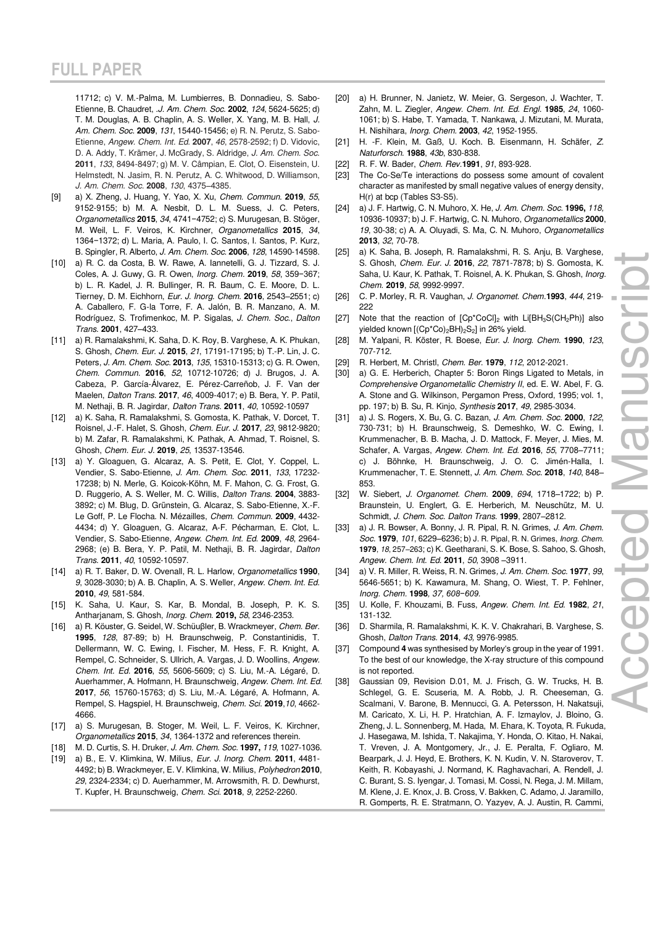11712; c) V. M.-Palma, M. Lumbierres, B. Donnadieu, S. Sabo-Etienne, B. Chaudret, .J. Am. Chem. Soc. **2002**, 124, 5624-5625; d) T. M. Douglas, A. B. Chaplin, A. S. Weller, X. Yang, M. B. Hall, J. Am. Chem. Soc. **2009**, 131, 15440-15456; e) R. N. Perutz, S. Sabo-Etienne, Angew. Chem. Int. Ed. **2007**, 46, 2578-2592; f) D. Vidovic, D. A. Addy, T. Krämer, J. McGrady, S. Aldridge, J. Am. Chem. Soc. **2011**, 133, 8494-8497; g) M. V. Câmpian, E. Clot, O. Eisenstein, U. Helmstedt, N. Jasim, R. N. Perutz, A. C. Whitwood, D. Williamson, J. Am. Chem. Soc. **2008**, 130, 4375–4385.

- [9] a) X. Zheng, J. Huang, Y. Yao, X. Xu, Chem. Commun. **2019**, 55, 9152-9155; b) M. A. Nesbit, D. L. M. Suess, J. C. Peters, Organometallics **2015**, 34, 4741−4752; c) S. Murugesan, B. Stöger, M. Weil, L. F. Veiros, K. Kirchner, Organometallics **2015**, 34, 1364−1372; d) L. Maria, A. Paulo, I. C. Santos, I. Santos, P. Kurz, B. Spingler, R. Alberto, J. Am. Chem. Soc. **2006**, 128, 14590-14598.
- [10] a) R. C. da Costa, B. W. Rawe, A. Iannetelli, G. J. Tizzard, S. J. Coles, A. J. Guwy, G. R. Owen, Inorg. Chem. **2019**, 58, 359−367; b) L. R. Kadel, J. R. Bullinger, R. R. Baum, C. E. Moore, D. L. Tierney, D. M. Eichhorn, Eur. J. Inorg. Chem. **2016**, 2543–2551; c) A. Caballero, F. G-la Torre, F. A. Jalón, B. R. Manzano, A. M. Rodríguez, S. Trofimenkoc, M. P. Sigalas, J. Chem. Soc., Dalton Trans. **2001**, 427–433.
- [11] a) R. Ramalakshmi, K. Saha, D. K. Roy, B. Varghese, A. K. Phukan, S. Ghosh, Chem. Eur. J. **2015**, 21, 17191-17195; b) T.-P. Lin, J. C. Peters, J. Am. Chem. Soc. **2013**, 135, 15310-15313; c) G. R. Owen, Chem. Commun. **2016**, 52, 10712-10726; d) J. Brugos, J. A. Cabeza, P. García-Álvarez, E. Pérez-Carreñob, J. F. Van der Maelen, Dalton Trans. **2017**, 46, 4009-4017; e) B. Bera, Y. P. Patil, M. Nethaji, B. R. Jagirdar, Dalton Trans. **2011**, 40, 10592-10597
- [12] a) K. Saha, R. Ramalakshmi, S. Gomosta, K. Pathak, V. Dorcet, T. Roisnel, J.-F. Halet, S. Ghosh, Chem. Eur. J. **2017**, 23, 9812-9820; b) M. Zafar, R. Ramalakshmi, K. Pathak, A. Ahmad, T. Roisnel, S. Ghosh, Chem. Eur. J. **2019**, 25, 13537-13546.
- [13] a) Y. Gloaguen, G. Alcaraz, A. S. Petit, E. Clot, Y. Coppel, L. Vendier, S. Sabo-Etienne, J. Am. Chem. Soc. **2011**, 133, 17232- 17238; b) N. Merle, G. Koicok-Köhn, M. F. Mahon, C. G. Frost, G. D. Ruggerio, A. S. Weller, M. C. Willis, Dalton Trans. **2004**, 3883- 3892; c) M. Blug, D. Grünstein, G. Alcaraz, S. Sabo-Etienne, X.-F. Le Goff, P. Le Flocha. N. Mézailles, Chem. Commun. **2009**, 4432- 4434; d) Y. Gloaguen, G. Alcaraz, A‐F. Pécharman, E. Clot, L. Vendier, S. Sabo‐Etienne, Angew. Chem. Int. Ed. **2009**, 48, 2964- 2968; (e) B. Bera, Y. P. Patil, M. Nethaji, B. R. Jagirdar, Dalton Trans. **2011**, 40, 10592-10597.
- [14] a) R. T. Baker, D. W. Ovenall, R. L. Harlow, Organometallics **1990**, 9, 3028-3030; b) A. B. Chaplin, A. S. Weller, Angew. Chem. Int. Ed. **2010**, 49, 581-584.
- [15] K. Saha, U. Kaur, S. Kar, B. Mondal, B. Joseph, P. K. S. Antharjanam, S. Ghosh, Inorg. Chem. **2019,** 58, 2346-2353.
- [16] a) R. Köuster, G. Seidel, W. Schüuβler, B. Wrackmeyer, Chem. Ber. **1995**, 128, 87-89; b) H. Braunschweig, P. Constantinidis, T. Dellermann, W. C. Ewing, I. Fischer, M. Hess, F. R. Knight, A. Rempel, C. Schneider, S. Ullrich, A. Vargas, J. D. Woollins, Angew. Chem. Int. Ed. **2016**, 55, 5606-5609; c) S. Liu, M.-A. Légaré, D. Auerhammer, A. Hofmann, H. Braunschweig, Angew. Chem. Int. Ed. **2017**, 56, 15760-15763; d) S. Liu, M.-A. Légaré, A. Hofmann, A. Rempel, S. Hagspiel, H. Braunschweig, Chem. Sci. **2019**,10, 4662- 4666.
- [17] a) S. Murugesan, B. Stoger, M. Weil, L. F. Veiros, K. Kirchner, Organometallics **2015**, 34, 1364-1372 and references therein.
- [18] M. D. Curtis, S. H. Druker, J. Am. Chem. Soc. **1997,** 119, 1027-1036.
- [19] a) B., E. V. Klimkina, W. Milius, Eur. J. Inorg. Chem. **2011**, 4481- 4492; b) B. Wrackmeyer, E. V. Klimkina, W. Milius, Polyhedron **2010**, 29, 2324-2334; c) D. Auerhammer, M. Arrowsmith, R. D. Dewhurst, T. Kupfer, H. Braunschweig, Chem. Sci. **2018**, 9, 2252-2260.
- [20] a) H. Brunner, N. Janietz, W. Meier, G. Sergeson, J. Wachter, T. Zahn, M. L. Ziegler, Angew. Chem. Int. Ed. Engl. **1985**, 24, 1060- 1061; b) S. Habe, T. Yamada, T. Nankawa, J. Mizutani, M. Murata, H. Nishihara, Inorg. Chem. **2003**, 42, 1952-1955.
- [21] H. -F. Klein, M. Gaß, U. Koch. B. Eisenmann, H. Schäfer, Z. Naturforsch. **1988**, 43b, 830-838.
- [22] R. F. W. Bader, Chem. Rev.**1991**, 91, 893-928.
- [23] The Co-Se/Te interactions do possess some amount of covalent character as manifested by small negative values of energy density, H(r) at bcp (Tables S3-S5).
- [24] a) J. F. Hartwig, C. N. Muhoro, X. He, J. Am. Chem. Soc. **1996,** 118, 10936-10937; b) J. F. Hartwig, C. N. Muhoro, Organometallics **2000**, 19, 30-38; c) A. A. Oluyadi, S. Ma, C. N. Muhoro, Organometallics **2013**, 32, 70-78.
- [25] a) K. Saha, B. Joseph, R. Ramalakshmi, R. S. Anju, B. Varghese, S. Ghosh, Chem. Eur. J. **2016**, 22, 7871-7878; b) S. Gomosta, K. Saha, U. Kaur, K. Pathak, T. Roisnel, A. K. Phukan, S. Ghosh, Inorg. Chem. **2019**, 58, 9992-9997.
- [26] C. P. Morley, R. R. Vaughan, J. Organomet. Chem.**1993**, 444, 219- 222
- [27] Note that the reaction of  $[Cp^*CoCl]_2$  with  $Li[BH_3S(CH_2Ph)]$  also yielded known [(Cp\*Co)<sub>2</sub>BH)<sub>2</sub>S<sub>2</sub>] in 26% yield.
- [28] M. Yalpani, R. Köster, R. Boese, Eur. J. Inorg. Chem. **1990**, 123, 707-712.
- [29] R. Herbert, M. Christl, Chem. Ber. **1979**, 112, 2012-2021.
- [30] a) G. E. Herberich, Chapter 5: Boron Rings Ligated to Metals, in Comprehensive Organometallic Chemistry II, ed. E. W. Abel, F. G. A. Stone and G. Wilkinson, Pergamon Press, Oxford, 1995; vol. 1, pp. 197; b) B. Su, R. Kinjo, Synthesis **2017**, 49, 2985-3034.
- [31] a) J. S. Rogers, X. Bu, G. C. Bazan, J. Am. Chem. Soc. **2000**, 122, 730-731; b) H. Braunschweig, S. Demeshko, W. C. Ewing, I. Krummenacher, B. B. Macha, J. D. Mattock, F. Meyer, J. Mies, M. Schafer, A. Vargas, Angew. Chem. Int. Ed. **2016**, 55, 7708–7711; c) J. Böhnke, H. Braunschweig, J. O. C. Jimén-Halla, I. Krummenacher, T. E. Stennett, J. Am. Chem. Soc. **2018**, 140, 848– 853.
- [32] W. Siebert, J. Organomet. Chem. **2009**, 694, 1718–1722; b) P. Braunstein, U. Englert, G. E. Herberich, M. Neuschütz, M. U. Schmidt, J. Chem. Soc. Dalton Trans. **1999**, 2807–2812.
- [33] a) J. R. Bowser, A. Bonny, J. R. Pipal, R. N. Grimes, J. Am. Chem. Soc. **1979**, 101, 6229–6236; b) J. R. Pipal, R. N. Grimes, Inorg. Chem. **1979**, 18, 257–263; c) K. Geetharani, S. K. Bose, S. Sahoo, S. Ghosh, Angew. Chem. Int. Ed. **2011**, 50, 3908 –3911.
- [34] a) V. R. Miller, R. Weiss, R. N. Grimes, J. Am. Chem. Soc. **1977**, 99, 5646-5651; b) K. Kawamura, M. Shang, O. Wiest, T. P. Fehlner, Inorg. Chem. **1998**, 37, *608−609*.
- [35] U. Kolle, F. Khouzami, B. Fuss, Angew. Chem. Int. Ed. **1982**, 21, 131-132.
- [36] D. Sharmila, R. Ramalakshmi, K. K. V. Chakrahari, B. Varghese, S. Ghosh, Dalton Trans. **2014**, 43, 9976-9985.
- [37] Compound **4** was synthesised by Morley's group in the year of 1991. To the best of our knowledge, the X-ray structure of this compound is not reported.
- [38] Gaussian 09, Revision D.01, M. J. Frisch, G. W. Trucks, H. B. Schlegel, G. E. Scuseria, M. A. Robb, J. R. Cheeseman, G. Scalmani, V. Barone, B. Mennucci, G. A. Petersson, H. Nakatsuji, M. Caricato, X. Li, H. P. Hratchian, A. F. Izmaylov, J. Bloino, G. Zheng, J. L. Sonnenberg, M. Hada, M. Ehara, K. Toyota, R. Fukuda, J. Hasegawa, M. Ishida, T. Nakajima, Y. Honda, O. Kitao, H. Nakai, T. Vreven, J. A. Montgomery, Jr., J. E. Peralta, F. Ogliaro, M. Bearpark, J. J. Heyd, E. Brothers, K. N. Kudin, V. N. Staroverov, T. Keith, R. Kobayashi, J. Normand, K. Raghavachari, A. Rendell, J. C. Burant, S. S. Iyengar, J. Tomasi, M. Cossi, N. Rega, J. M. Millam, M. Klene, J. E. Knox, J. B. Cross, V. Bakken, C. Adamo, J. Jaramillo, R. Gomperts, R. E. Stratmann, O. Yazyev, A. J. Austin, R. Cammi,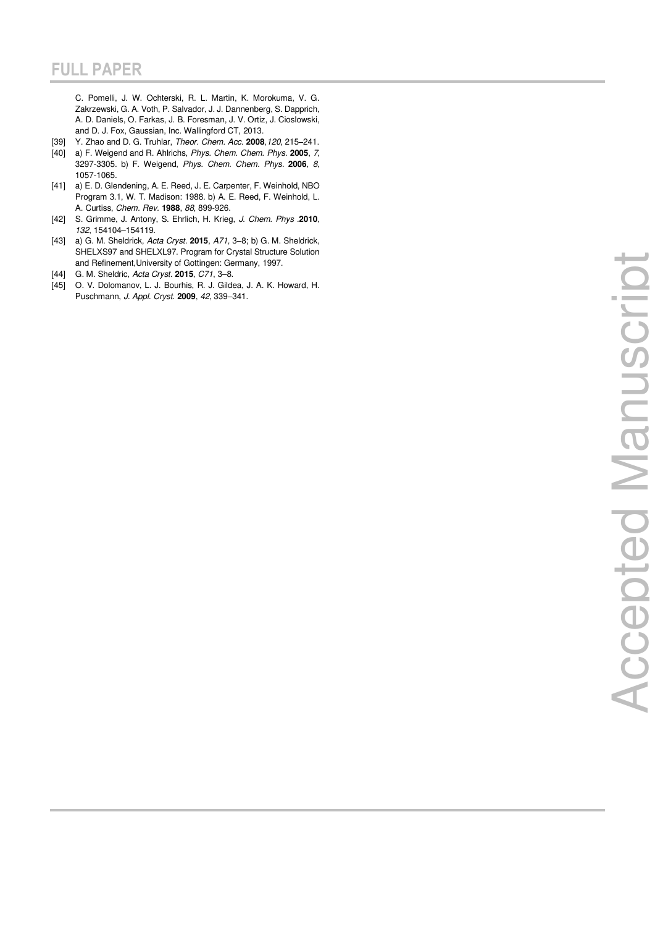C. Pomelli, J. W. Ochterski, R. L. Martin, K. Morokuma, V. G. Zakrzewski, G. A. Voth, P. Salvador, J. J. Dannenberg, S. Dapprich, A. D. Daniels, O. Farkas, J. B. Foresman, J. V. Ortiz, J. Cioslowski, and D. J. Fox, Gaussian, Inc. Wallingford CT, 2013.

- [39] Y. Zhao and D. G. Truhlar, Theor. Chem. Acc. **2008** ,120, 215 –241.
- [40] a) F. Weigend and R. Ahlrichs, Phys. Chem. Chem. Phys. **2005**, 7, 3297-3305. b) F. Weigend, Phys. Chem. Chem. Phys. **2006**, 8, 1057-1065.
- [41] a) E. D. Glendening, A. E. Reed, J. E. Carpenter, F. Weinhold, NBO Program 3.1, W. T. Madison: 1988. b) A. E. Reed, F. Weinhold, L. A. Curtiss, Chem. Rev. **1988**, 88, 899-926.
- [42] S. Grimme, J. Antony, S. Ehrlich, H. Krieg, J. Chem. Phys .**2010**, 132, 154104 –154119.
- [43] a) G. M. Sheldrick, [Acta Cryst.](https://journals.iucr.org/a) **2015**, [A71,](https://journals.iucr.org/a/contents/backissues.html)  3 8; b) G. M. Sheldrick, SHELXS97 and SHELXL97. Program for Crystal Structure Solution and Refinement,University of Gottingen: Germany, 1997.
- [44] G. M. Sheldric, [Acta Cryst.](https://journals.iucr.org/a) **2015**, [C71](https://journals.iucr.org/a/contents/backissues.html), 3 –8.
- [45] O. V. Dolomanov, L. J. Bourhis, R. J. Gildea, J. A. K. Howard, H. Puschmann, J. Appl. Cryst. **2009**, 42, 339 –341.